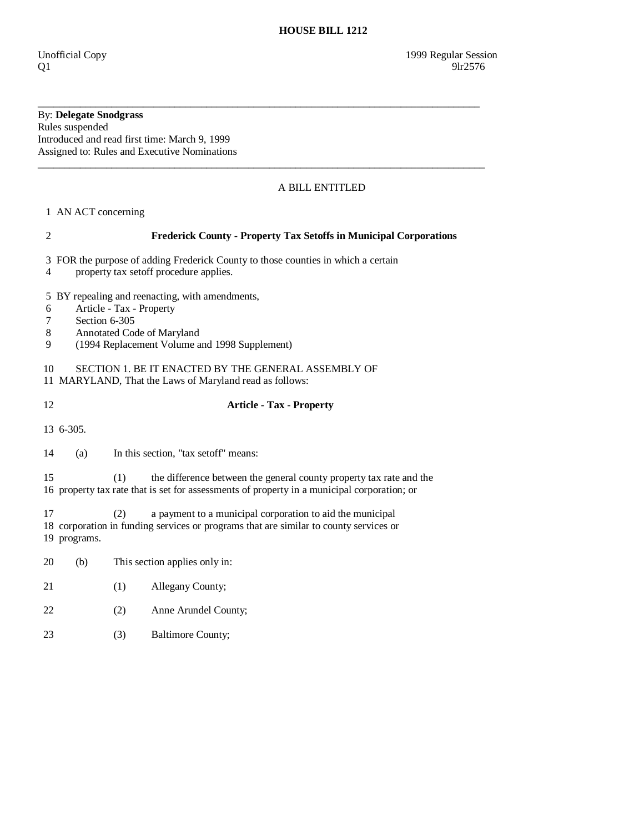## By: **Delegate Snodgrass**

Rules suspended Introduced and read first time: March 9, 1999 Assigned to: Rules and Executive Nominations

## A BILL ENTITLED

1 AN ACT concerning

### 2 **Frederick County - Property Tax Setoffs in Municipal Corporations**

\_\_\_\_\_\_\_\_\_\_\_\_\_\_\_\_\_\_\_\_\_\_\_\_\_\_\_\_\_\_\_\_\_\_\_\_\_\_\_\_\_\_\_\_\_\_\_\_\_\_\_\_\_\_\_\_\_\_\_\_\_\_\_\_\_\_\_\_\_\_\_\_\_\_\_\_\_\_\_\_\_\_\_\_

 $\_$  ,  $\_$  ,  $\_$  ,  $\_$  ,  $\_$  ,  $\_$  ,  $\_$  ,  $\_$  ,  $\_$  ,  $\_$  ,  $\_$  ,  $\_$  ,  $\_$  ,  $\_$  ,  $\_$  ,  $\_$  ,  $\_$  ,  $\_$  ,  $\_$  ,  $\_$  ,  $\_$  ,  $\_$  ,  $\_$  ,  $\_$  ,  $\_$  ,  $\_$  ,  $\_$  ,  $\_$  ,  $\_$  ,  $\_$  ,  $\_$  ,  $\_$  ,  $\_$  ,  $\_$  ,  $\_$  ,  $\_$  ,  $\_$  ,

- 3 FOR the purpose of adding Frederick County to those counties in which a certain
- 4 property tax setoff procedure applies.

5 BY repealing and reenacting, with amendments,

- 6 Article Tax Property
- 7 Section 6-305
- 8 Annotated Code of Maryland
- 9 (1994 Replacement Volume and 1998 Supplement)

10 SECTION 1. BE IT ENACTED BY THE GENERAL ASSEMBLY OF

11 MARYLAND, That the Laws of Maryland read as follows:

## 12 **Article - Tax - Property**

13 6-305.

14 (a) In this section, "tax setoff" means:

 15 (1) the difference between the general county property tax rate and the 16 property tax rate that is set for assessments of property in a municipal corporation; or

 17 (2) a payment to a municipal corporation to aid the municipal 18 corporation in funding services or programs that are similar to county services or 19 programs.

- 20 (b) This section applies only in:
- 21 (1) Allegany County;
- 22 (2) Anne Arundel County;
- 23 (3) Baltimore County;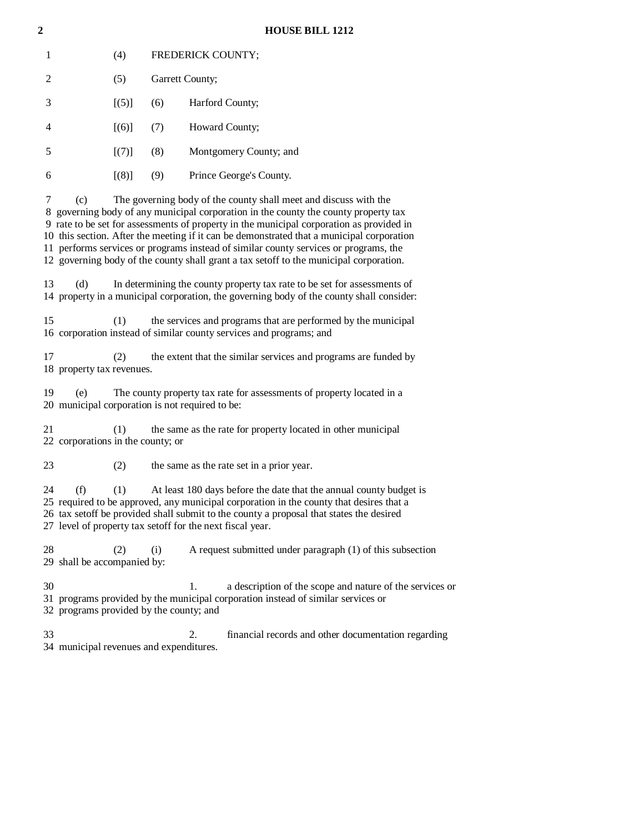#### **2 HOUSE BILL 1212**

|                | (4) | <b>FREDERICK COUNTY;</b> |                         |
|----------------|-----|--------------------------|-------------------------|
| $\mathfrak{D}$ | (5) | Garrett County;          |                         |
| 3              | (5) | (6)                      | Harford County;         |
| 4              | (6) | (7)                      | Howard County;          |
| 5              | (7) | (8)                      | Montgomery County; and  |
| 6              | (8) | (9)                      | Prince George's County. |
|                |     |                          |                         |

 7 (c) The governing body of the county shall meet and discuss with the 8 governing body of any municipal corporation in the county the county property tax 9 rate to be set for assessments of property in the municipal corporation as provided in 10 this section. After the meeting if it can be demonstrated that a municipal corporation 11 performs services or programs instead of similar county services or programs, the 12 governing body of the county shall grant a tax setoff to the municipal corporation.

 13 (d) In determining the county property tax rate to be set for assessments of 14 property in a municipal corporation, the governing body of the county shall consider:

 15 (1) the services and programs that are performed by the municipal 16 corporation instead of similar county services and programs; and

 17 (2) the extent that the similar services and programs are funded by 18 property tax revenues.

 19 (e) The county property tax rate for assessments of property located in a 20 municipal corporation is not required to be:

 21 (1) the same as the rate for property located in other municipal 22 corporations in the county; or

23 (2) the same as the rate set in a prior year.

 24 (f) (1) At least 180 days before the date that the annual county budget is 25 required to be approved, any municipal corporation in the county that desires that a 26 tax setoff be provided shall submit to the county a proposal that states the desired 27 level of property tax setoff for the next fiscal year.

28 (2) (i) A request submitted under paragraph (1) of this subsection 29 shall be accompanied by:

 30 1. a description of the scope and nature of the services or 31 programs provided by the municipal corporation instead of similar services or 32 programs provided by the county; and

 33 2. financial records and other documentation regarding 34 municipal revenues and expenditures.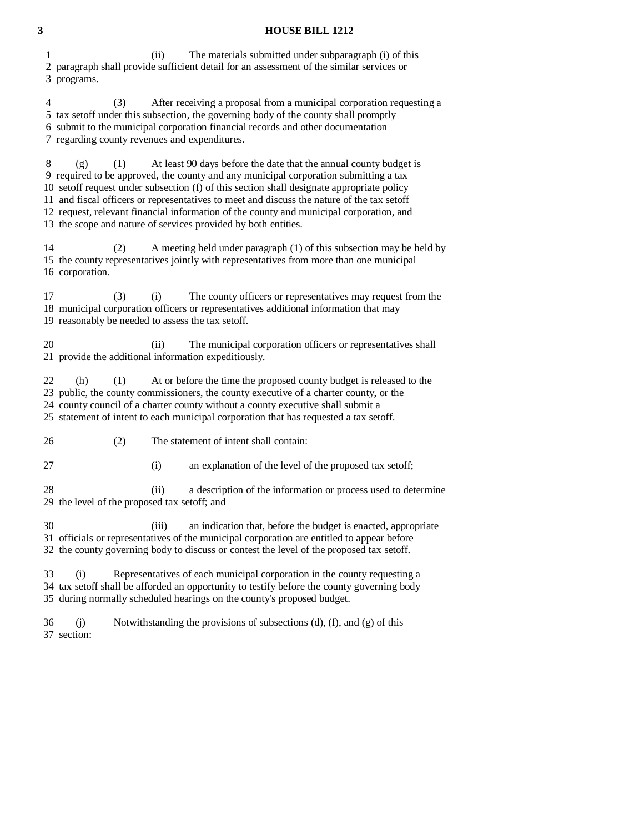# **3 HOUSE BILL 1212**

| The materials submitted under subparagraph (i) of this<br>1<br>(ii)<br>2 paragraph shall provide sufficient detail for an assessment of the similar services or<br>3 programs.                                                                                                                                                                                                                                                                                                                                                       |  |  |  |
|--------------------------------------------------------------------------------------------------------------------------------------------------------------------------------------------------------------------------------------------------------------------------------------------------------------------------------------------------------------------------------------------------------------------------------------------------------------------------------------------------------------------------------------|--|--|--|
| After receiving a proposal from a municipal corporation requesting a<br>4<br>(3)<br>5 tax setoff under this subsection, the governing body of the county shall promptly<br>6 submit to the municipal corporation financial records and other documentation<br>7 regarding county revenues and expenditures.                                                                                                                                                                                                                          |  |  |  |
| 8<br>At least 90 days before the date that the annual county budget is<br>(1)<br>(g)<br>9 required to be approved, the county and any municipal corporation submitting a tax<br>10 setoff request under subsection (f) of this section shall designate appropriate policy<br>11 and fiscal officers or representatives to meet and discuss the nature of the tax setoff<br>12 request, relevant financial information of the county and municipal corporation, and<br>13 the scope and nature of services provided by both entities. |  |  |  |
| 14<br>A meeting held under paragraph (1) of this subsection may be held by<br>(2)<br>15 the county representatives jointly with representatives from more than one municipal<br>16 corporation.                                                                                                                                                                                                                                                                                                                                      |  |  |  |
| 17<br>(3)<br>The county officers or representatives may request from the<br>(i)<br>18 municipal corporation officers or representatives additional information that may<br>19 reasonably be needed to assess the tax setoff.                                                                                                                                                                                                                                                                                                         |  |  |  |
| 20<br>The municipal corporation officers or representatives shall<br>(ii)<br>21 provide the additional information expeditiously.                                                                                                                                                                                                                                                                                                                                                                                                    |  |  |  |
| At or before the time the proposed county budget is released to the<br>22<br>(h)<br>(1)<br>23 public, the county commissioners, the county executive of a charter county, or the<br>24 county council of a charter county without a county executive shall submit a<br>25 statement of intent to each municipal corporation that has requested a tax setoff.                                                                                                                                                                         |  |  |  |
| (2)<br>The statement of intent shall contain:<br>26                                                                                                                                                                                                                                                                                                                                                                                                                                                                                  |  |  |  |
| 27<br>(i)<br>an explanation of the level of the proposed tax setoff;                                                                                                                                                                                                                                                                                                                                                                                                                                                                 |  |  |  |
| 28<br>a description of the information or process used to determine<br>(ii)<br>29 the level of the proposed tax setoff; and                                                                                                                                                                                                                                                                                                                                                                                                          |  |  |  |
| 30<br>an indication that, before the budget is enacted, appropriate<br>(iii)<br>31 officials or representatives of the municipal corporation are entitled to appear before<br>32 the county governing body to discuss or contest the level of the proposed tax setoff.                                                                                                                                                                                                                                                               |  |  |  |
| Representatives of each municipal corporation in the county requesting a<br>33<br>(i)<br>34 tax setoff shall be afforded an opportunity to testify before the county governing body<br>35 during normally scheduled hearings on the county's proposed budget.                                                                                                                                                                                                                                                                        |  |  |  |
| Notwithstanding the provisions of subsections $(d)$ , $(f)$ , and $(g)$ of this<br>36<br>(i)<br>37 section:                                                                                                                                                                                                                                                                                                                                                                                                                          |  |  |  |